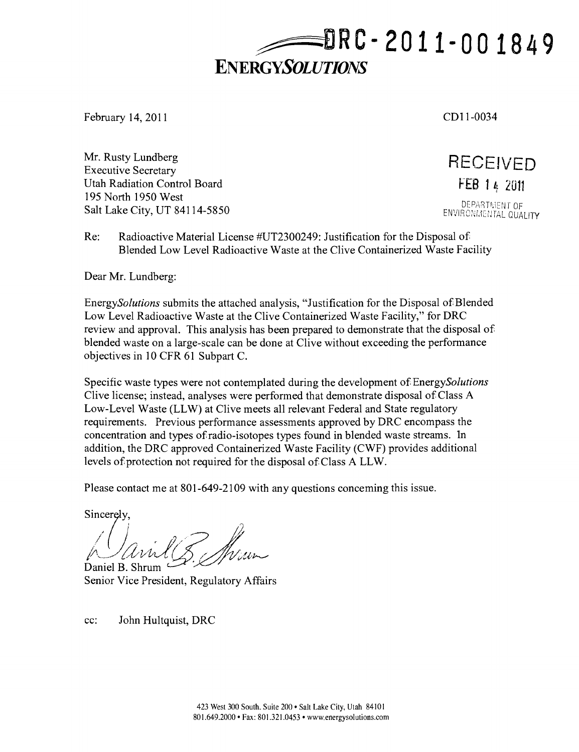**RC- 201 1-00 1849** 

# **ENERGYSOLUTIONS**

February 14, 2011 CDI 1-0034

Mr. Rusty Lundberg RECEIVED Executive Secretary •  $\blacksquare$  is the secretary  $\blacksquare$  is the secretary  $\blacksquare$  is the secretary  $\blacksquare$  is the secretary  $\blacksquare$  is the secretary  $\blacksquare$  is the secretary  $\blacksquare$  is the secretary  $\blacksquare$  is the secretary  $\blacksquare$  Utah Radiation Control Board 195 North 1950 West SALT LAKE CITY, UT 84114-5850<br>
Salt Lake City, UT 84114-5850

Re: Radioactive Material License #UT2300249: Justification for the Disposal of Blended Low Level Radioactive Waste at the Clive Containerized Waste Facility

Dear Mr. Lundberg:

EnergySolutions submits the attached analysis, "Justification for the Disposal of Blended Low Level Radioactive Waste at the Clive Containerized Waste Facility," for DRC review and approval. This analysis has been prepared to demonstrate that the disposal of blended waste on a large-scale can be done at Clive without exceeding the performance objectives in 10 CFR 61 Subpart C.

Specific waste types were not contemplated during the development of EnergySolutions Clive license; instead, analyses were performed that demonstrate disposal of Class A Low-Level Waste (LLW) at Clive meets all relevant Federal and State regulatory requirements. Previous performance assessments approved by DRC encompass the concentration and types of radio-isotopes types found in blended waste streams. In addition, the DRC approved Containerized Waste Facility (CWF) provides additional levels of protection not required for the disposal of Class A LLW.

Please contact me at 801-649-2109 with any questions conceming this issue.

Sincerely,

/ *:/u-i*  Daniel B. Shrum

Senior Vice President, Regulatory Affairs

cc: John Hultquist, DRC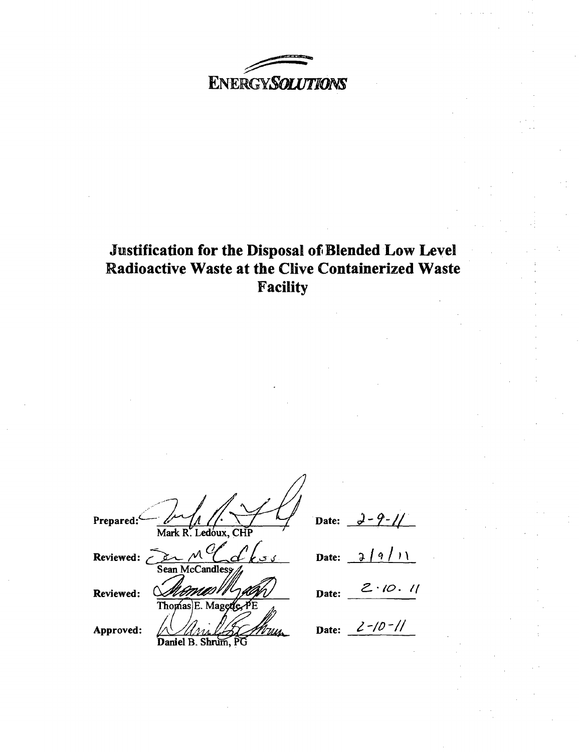**ENERGYSOLUTIONS** 

# Justification for the Disposal of Blended Low Level **Radioactive Waste at the Clive Containerized Waste Facility**

| Prepared:<br>Mark R. Ledoux, CHP | Date: |
|----------------------------------|-------|
| Reviewed:<br>Sean McCandless     | Date: |
| Reviewed:<br>Thomas E. Magerie   | Date: |
| Approved:<br>Daniel B. Shrum     | Date: |

*Date: ^'9'/ /* 

*Date: 7* 

 $2.10.11$ 

*Date: lYOy//*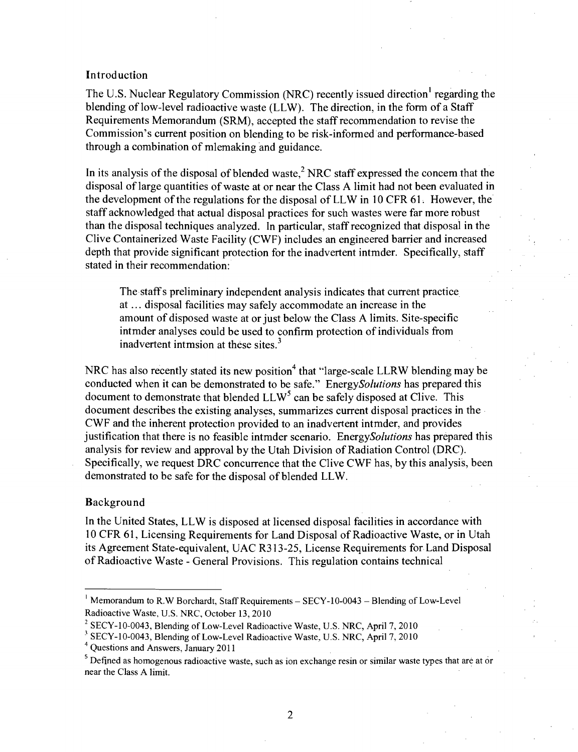### **Introduction**

The U.S. Nuclear Regulatory Commission (NRC) recently issued direction' regarding the blending of low-level radioactive waste (LLW). The direction, in the form of a Staff Requirements Memorandum (SRM), accepted the staff recommendation to revise the Commission's current position on blending to be risk-informed and performance-based through a combination of mlemaking and guidance.

In its analysis of the disposal of blended waste, $<sup>2</sup>$  NRC staff expressed the concem that the</sup> disposal of large quantities of waste at or near the Class A limit had not been evaluated in the development of the regulations for the disposal of LLW in 10 CFR 61. However, the staff acknowledged that actual disposal practices for such wastes were far more robust than the disposal techniques analyzed. In particular, staff recognized that disposal in the Clive Containerized Waste Facility (CWF) includes an engineered barrier and increased depth that provide significant protection for the inadvertent intmder. Specifically, staff stated in their recommendation:

The staff s preliminary independent analysis indicates that current practice at... disposal facilities may safely accommodate an increase in the amount of disposed waste at or just below the Class A limits. Site-specific intmder analyses could be used to confirm protection of individuals from inadvertent intmsion at these sites. $3$ 

NRC has also recently stated its new position<sup>4</sup> that "large-scale LLRW blending may be conducted when it can be demonstrated to be safe." EnergySolutions has prepared this document to demonstrate that blended  $LLW<sup>5</sup>$  can be safely disposed at Clive. This document describes the existing analyses, summarizes current disposal practices in the CWF and the inherent protection provided to an inadvertent intmder, and provides justification that there is no feasible intmder scenario. EnergySolutions has prepared this analysis for review and approval by the Utah Division of Radiation Control (DRC). Specifically, we request DRC concurrence that the Clive CWF has, by this analysis, been demonstrated to be safe for the disposal of blended LLW.

#### **Background**

In the United States, LLW is disposed at licensed disposal facilities in accordance with 10 CFR 61, Licensing Requirements for Land Disposal of Radioactive Waste, or in Utah its Agreement State-equivalent, UAC R313-25, License Requirements for Land Disposal of Radioactive Waste - General Provisions. This regulation contains technical

<sup>&</sup>lt;sup>1</sup> Memorandum to R.W Borchardt, Staff Requirements - SECY-10-0043 - Blending of Low-Level Radioactive Waste, U.S. NRC, October 13, 2010

 $2^{2}$  SECY-10-0043, Blending of Low-Level Radioactive Waste, U.S. NRC, April 7, 2010

<sup>&#</sup>x27; SECY-10-0043, Blending of Low-Level Radioactive Waste, U.S. NRC, April 7, 2010

<sup>\*</sup> Questions and Answers, January 2011

<sup>&</sup>lt;sup>5</sup> Defined as homogenous radioactive waste, such as ion exchange resin or similar waste types that are at or near the Class A limit.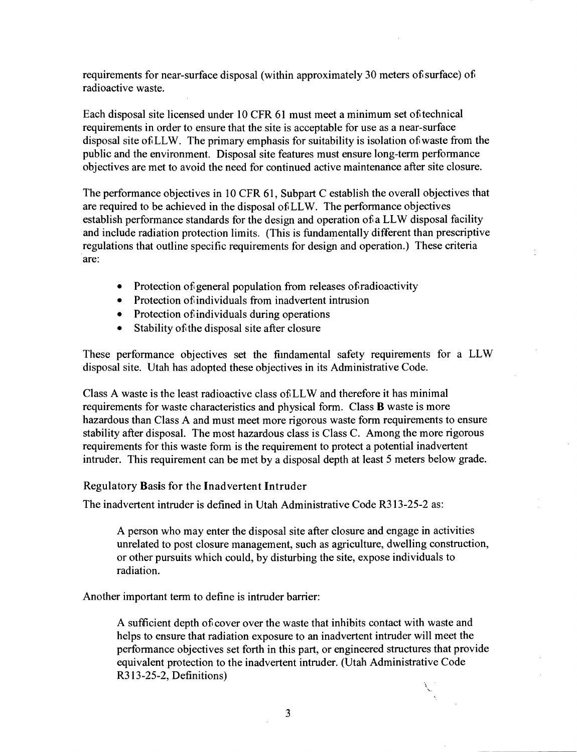requirements for near-surface disposal (within approximately 30 meters of surface) of radioactive waste.

Each disposal site licensed under 10 CFR 61 must meet a minimum set of technical requirements in order to ensure that the site is acceptable for use as a near-surface disposal site of LLW. The primary emphasis for suitability is isolation of waste from the public and the environment. Disposal site features must ensure long-term performance objectives are met to avoid the need for continued active maintenance after site closure.

The performance objectives in 10 CFR 61, Subpart C establish the overall objectives that are required to be achieved in the disposal of LLW. The performance objectives establish performance standards for the design and operation of a LLW disposal facility and include radiation protection limits. (This is fundamentally different than prescriptive regulations that outline specific requirements for design and operation.) These criteria are:

- Protection of general population from releases of radioactivity
- Protection of individuals from inadvertent intrusion
- Protection of individuals during operations
- Stability of the disposal site after closure

These performance objectives set the fiindamental safety requirements for a LLW disposal site. Utah has adopted these objectives in its Administrative Code.

Class A waste is the least radioactive class of LLW and therefore it has minimal requirements for waste characteristics and physical form. Class B waste is more hazardous than Class A and must meet more rigorous waste form requirements to ensure stability after disposal. The most hazardous class is Class C. Among the more rigorous requirements for this waste form is the requirement to protect a potential inadvertent intruder. This requirement can be met by a disposal depth at least 5 meters below grade.

## **Regulatory Basis for the Inadvertent Intruder**

The inadvertent intmder is defined in Utah Administrative Code R313-25-2 as:

A person who may enter the disposal site after closure and engage in activities unrelated to post closure management, such as agriculture, dwelling constmction, or other pursuits which could, by disturbing the site, expose individuals to radiation.

Another important term to define is intruder barrier:

A sufficient depth of cover over the waste that inhibits contact with waste and helps to ensure that radiation exposure to an inadvertent intruder will meet the performance objectives set forth in this part, or engineered stmctures that provide equivalent protection to the inadvertent intmder. (Utah Administrative Code R313-25-2, Definitions)

 $\overline{\mathbf{3}}$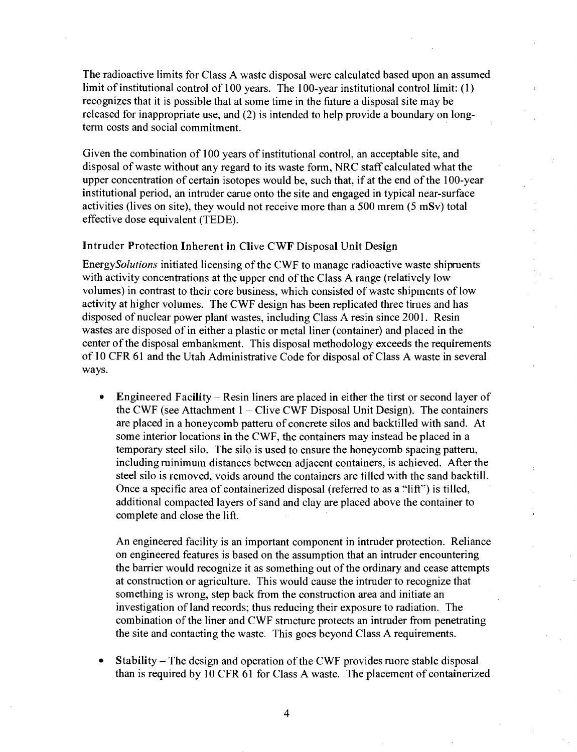The radioactive limits for Class A waste disposal were calculated based upon an assumed limit of institutional control of 100 years. The 100-year institutional control limit:  $(1)$ recognizes that it is possible that at some fime in the fiiture a disposal site may be released for inappropriate use, and (2) is intended to help provide a boundary on longterm costs and social commitment.

Given the combination of 100 years of insfitufional control, an acceptable site, and disposal of waste without any regard to its waste form, NRC staff calculated what the upper concentration of certain isotopes would be, such that, if at the end of the 100-year insfitutional period, an intmder came onto the site and engaged in typical near-surface activifies (lives on site), they would not receive more than a 500 mrem (5 mSv) total effecfive dose equivalent (TEDE).

#### **Intruder Protection Inherent in Clive CWF Disposal Unit Design**

EnergySolutions initiated licensing of the CWF to manage radioactive waste shipments with activity concentrations at the upper end of the Class A range (relatively low volumes) in contrast to their core business, which consisted of waste shipments of low activity at higher volumes. The CWF design has been replicated three fimes and has disposed of nuclear power plant wastes, including Class A resin since 2001. Resin wastes are disposed of in either a plastic or metal liner (container) and placed in the center of the disposal embankment. This disposal methodology exceeds the requirements of 10 CFR 61 and the Utah Adminisfrative Code for disposal of Class A waste in several ways.

• Engineered Facility – Resin liners are placed in either the tirst or second layer of the CWF (see Attachment  $1 -$  Clive CWF Disposal Unit Design). The containers are placed in a honeycomb pattem of concrete silos and backfilled with sand. At some interior locations in the CWF, the containers may instead be placed in a temporary steel silo. The silo is used to ensure the honeycomb spacing pattem, including minimum distances between adjacent containers, is achieved. After the steel silo is removed, voids around the containers are tilled with the sand backtill. Once a specific area of containerized disposal (referred to as a "lift") is filled, additional compacted layers of sand and clay are placed above the container to complete and close the lift.

An engineered facility is an important component in intmder protection. Reliance on engineered features is based on the assumption that an intmder encountering the barrier would recognize it as something out of the ordinary and cease attempts at constmction or agriculture. This would cause the intmder to recognize that something is wrong, step back from the constmction area and inifiate an investigation of land records; thus reducing their exposure to radiation. The combination of the liner and CWF structure protects an intruder from penetrating the site and contacting the waste. This goes beyond Class A requirements.

Stability - The design and operation of the CWF provides more stable disposal than is required by 10 CFR 61 for Class A waste. The placement of containerized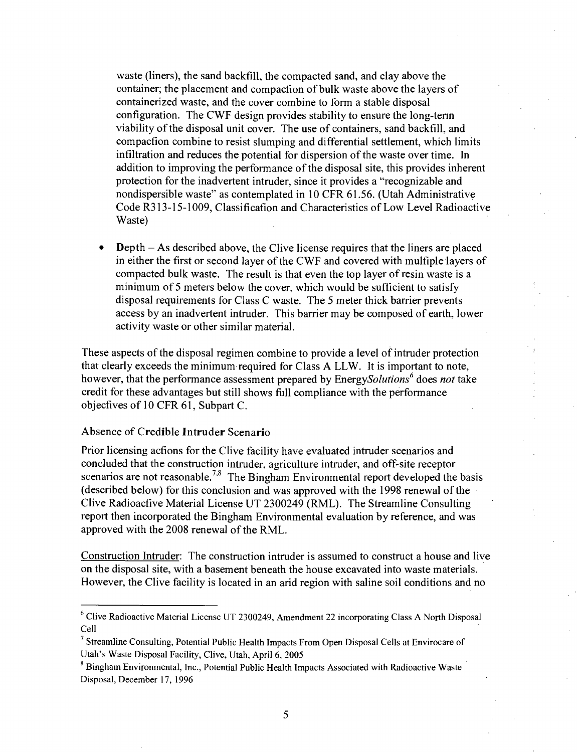waste (liners), the sand backfill, the compacted sand, and clay above the container; the placement and compacfion of bulk waste above the layers of containerized waste, and the cover combine to form a stable disposal configuration. The CWF design provides stability to ensure the long-tenn viability of the disposal unit cover. The use of containers, sand backfill, and compacfion combine to resist slumping and differential settlement, which limits infiltration and reduces the potential for dispersion of the waste over time. In addition to improving the performance of the disposal site, this provides inherent protection for the inadvertent intmder, since it provides a "recognizable and nondispersible waste" as contemplated in 10 CFR 61.56. (Utah Administrative Code R313-15-1009, Classificafion and Characteristics of Low Level Radioactive Waste)

• Depth - As described above, the Clive license requires that the liners are placed in either the first or second layer of the CWF and covered with mulfiple layers of compacted bulk waste. The result is that even the top layer of resin waste is a minimum of 5 meters below the cover, which would be sufficient to satisfy disposal requirements for Class C waste. The 5 meter thick barrier prevents access by an inadvertent intmder. This barrier may be composed of earth, lower activity waste or other similar material.

These aspects of the disposal regimen combine to provide a level of intruder protection that clearly exceeds the minimum required for Class A LLW. It is important to note, however, that the performance assessment prepared by EnergySolutions<sup>6</sup> does not take credit for these advantages but still shows fiall compliance with the performance objecfives of 10 CFR 61, Subpart C.

#### **Absence of Credible Intruder Scenario**

Prior licensing acfions for the Clive facility have evaluated intmder scenarios and concluded that the construction intruder, agriculture intruder, and off-site receptor scenarios are not reasonable.<sup>7,8</sup> The Bingham Environmental report developed the basis (described below) for this conclusion and was approved with the 1998 renewal of the Clive Radioacfive Material License UT 2300249 (RML). The Streamline Consulting report then incorporated the Bingham Environmental evaluation by reference, and was approved with the 2008 renewal of the RML.

Construction Intruder: The construction intruder is assumed to construct a house and live on the disposal site, with a basement beneath the house excavated into waste materials. However, the Clive facility is located in an arid region with saline soil conditions and no

 $6$  Clive Radioactive Material License UT 2300249, Amendment 22 incorporating Class A North Disposal Cell

 $<sup>7</sup>$  Streamline Consulting, Potential Public Health Impacts From Open Disposal Cells at Envirocare of</sup> Utah's Waste Disposal Facility, Clive, Utah, April 6, 2005

<sup>&</sup>lt;sup>8</sup> Bingham Environmental, Inc., Potential Public Health Impacts Associated with Radioactive Waste Disposal, December 17, 1996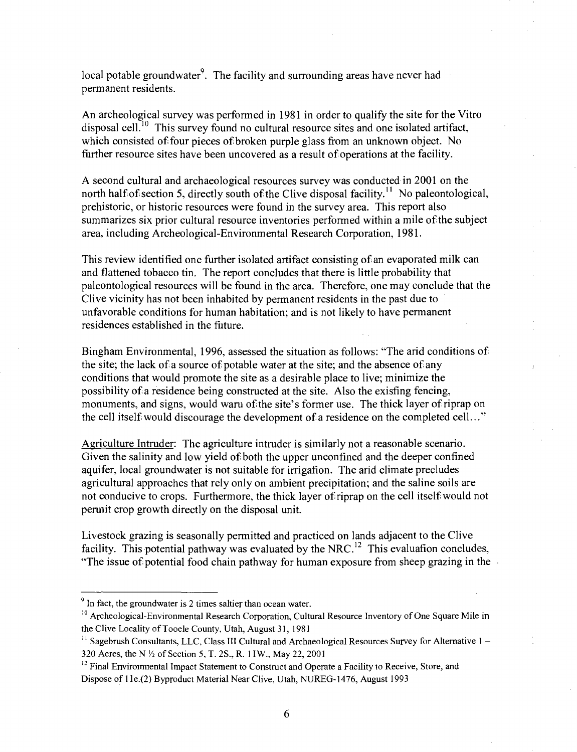local potable groundwater<sup>9</sup>. The facility and surrounding areas have never had permanent residents.

An archeological survey was performed in 1981 in order to qualify the site for the Vitro disposal cell.<sup>10</sup> This survey found no cultural resource sites and one isolated artifact, which consisted of four pieces of broken purple glass from an unknown object. No further resource sites have been uncovered as a result of operations at the facility.

A second cultural and archaeological resources survey was conducted in 2001 on the north half of section 5, directly south of the Clive disposal facility.<sup>11</sup> No paleontological, prehistoric, or historic resources were found in the survey area. This report also summarizes six prior cultural resource inventories performed within a mile of the subject area, including Archeological-Environmental Research Corporation, 1981.

This review identified one further isolated artifact consisting of an evaporated milk can and flattened tobacco tin. The report concludes that there is little probability that paleontological resources will be found in the area. Therefore, one may conclude that the Clive vicinity has not been inhabited by permanent residents in the past due to unfavorable conditions for human habitation; and is not likely to have permanent residences established in the future.

Bingham Environmental, 1996, assessed the situation as follows: "The arid conditions of the site; the lack of a source of potable water at the site; and the absence of any conditions that would promote the site as a desirable place to live; minimize the possibility of a residence being constmcted at the site. Also the exisfing fencing, monuments, and signs, would wam of the site's former use. The thick layer of riprap on the cell itself would discourage the development of a residence on the completed cell..."

Agriculture Intmder: The agriculture intmder is similarly not a reasonable scenario. Given the salinity and low yield of both the upper unconfined and the deeper confined aquifer, local groundwater is not suitable for irrigafion. The arid climate precludes agricultural approaches that rely only on ambient precipitation; and the saline soils are not conducive to crops. Furthermore, the thick layer of riprap on the cell itself would not pemiit crop growth directly on the disposal unit.

Livestock grazing is seasonally permitted and practiced on lands adjacent to the Clive facility. This potential pathway was evaluated by the NRC.<sup>12</sup> This evaluafion concludes, "The issue of potential food chain pathway for human exposure from sheep grazing in the

 $\degree$  In fact, the groundwater is 2 times saltier than ocean water.

 $10$  Archeological-Environmental Research Corporation, Cultural Resource Inventory of One Square Mile in the Clive Locality of Tooele County, Utah, August 31, 1981

 $^{11}$  Sagebrush Consultants, LLC, Class III Cultural and Archaeological Resources Survey for Alternative  $1 -$ 320 Acres, the N  $\frac{1}{2}$  of Section 5, T. 2S., R. 1 IW., May 22, 2001

 $^{12}$  Final Environmental Impact Statement to Construct and Operate a Facility to Receive, Store, and Dispose of 1 le.(2) Byproduct Material Near Clive, Utah, NUREG-1476, August 1993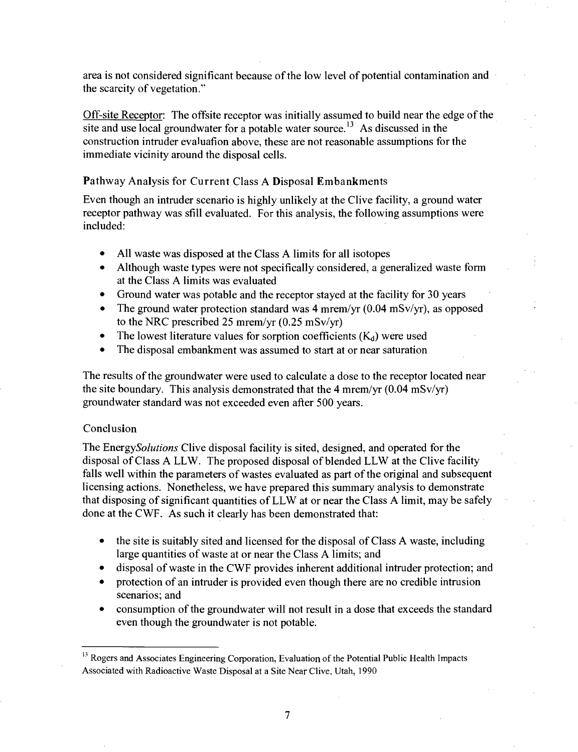area is not considered significant because of the low level of potential contamination and the scarcity of vegetation."

Off-site Receptor: The offsite receptor was initially assumed to build near the edge of the site and use local groundwater for a potable water source.<sup>13</sup> As discussed in the construction intruder evaluation above, these are not reasonable assumptions for the immediate vicinity around the disposal cells.

# **Pathway Analysis for Current Class A Disposal Embankments**

Even though an intmder scenario is highly unlikely at the Clive facility, a ground water receptor pathway was sfill evaluated. For this analysis, the following assumptions were included:

- All waste was disposed at the Class A limits for all isotopes
- Although waste types were not specifically considered, a generalized waste form at the Class A limits was evaluated
- Ground water was potable and the receptor stayed at the facility for 30 years
- The ground water protection standard was 4 mrem/yr  $(0.04 \text{ mSv/yr})$ , as opposed to the NRC prescribed 25 mrem/yr (0.25 mSv/yr)
- The lowest literature values for sorption coefficients  $(K_d)$  were used
- The disposal embankment was assumed to start at or near saturation

The results of the groundwater were used to calculate a dose to the receptor located near the site boundary. This analysis demonstrated that the 4 mr em/yr  $(0.04 \text{ mSv/yr})$ groundwater standard was not exceeded even after 500 years.

# **Conclusion**

The EnergySolutions Clive disposal facility is sited, designed, and operated for the disposal of Class A LLW. The proposed disposal of blended LLW at the Clive facility falls well within the parameters of wastes evaluated as part of the original and subsequent licensing actions. Nonetheless, we have prepared this summary analysis to demonstrate that disposing of significant quantities of LLW at or near the Class A limit, may be safely done at the CWF. As such it clearly has been demonstrated that:

- the site is suitably sited and licensed for the disposal of Class A waste, including large quantities of waste at or near the Class A limits; and
- disposal of waste in the CWF provides inherent additional intruder protection; and
- protection of an intruder is provided even though there are no credible intrusion scenarios; and
- consumption of the groundwater will not result in a dose that exceeds the standard even though the groundwater is not potable.

<sup>&</sup>lt;sup>13</sup> Rogers and Associates Engineering Corporation, Evaluation of the Potential Public Health Impacts Associated with Radioactive Waste Disposal at a Site Near Clive, Utah, 1990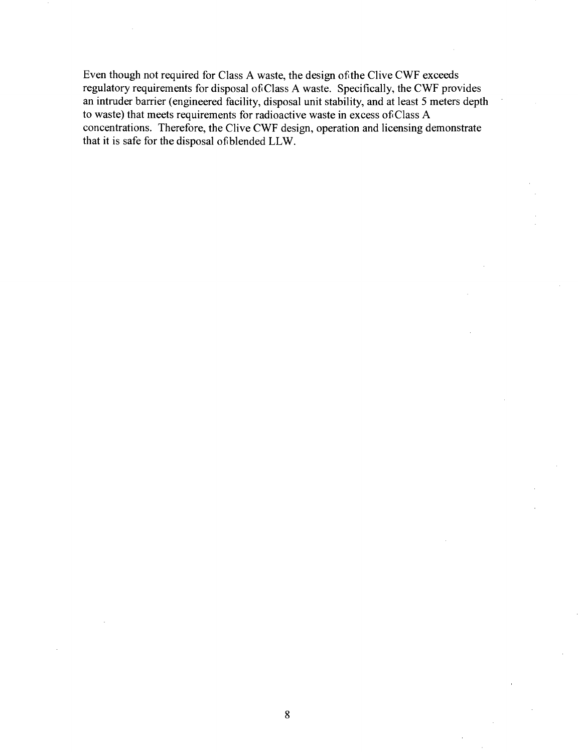Even though not required for Class A waste, the design of the Clive CWF exceeds regulatory requirements for disposal of Class A waste. Specifically, the CWF provides an intmder barrier (engineered facility, disposal unit stability, and at least 5 meters depth to waste) that meets requirements for radioactive waste in excess of Class A concentrations. Therefore, the Clive CWF design, operation and licensing demonstrate that it is safe for the disposal of blended LLW.